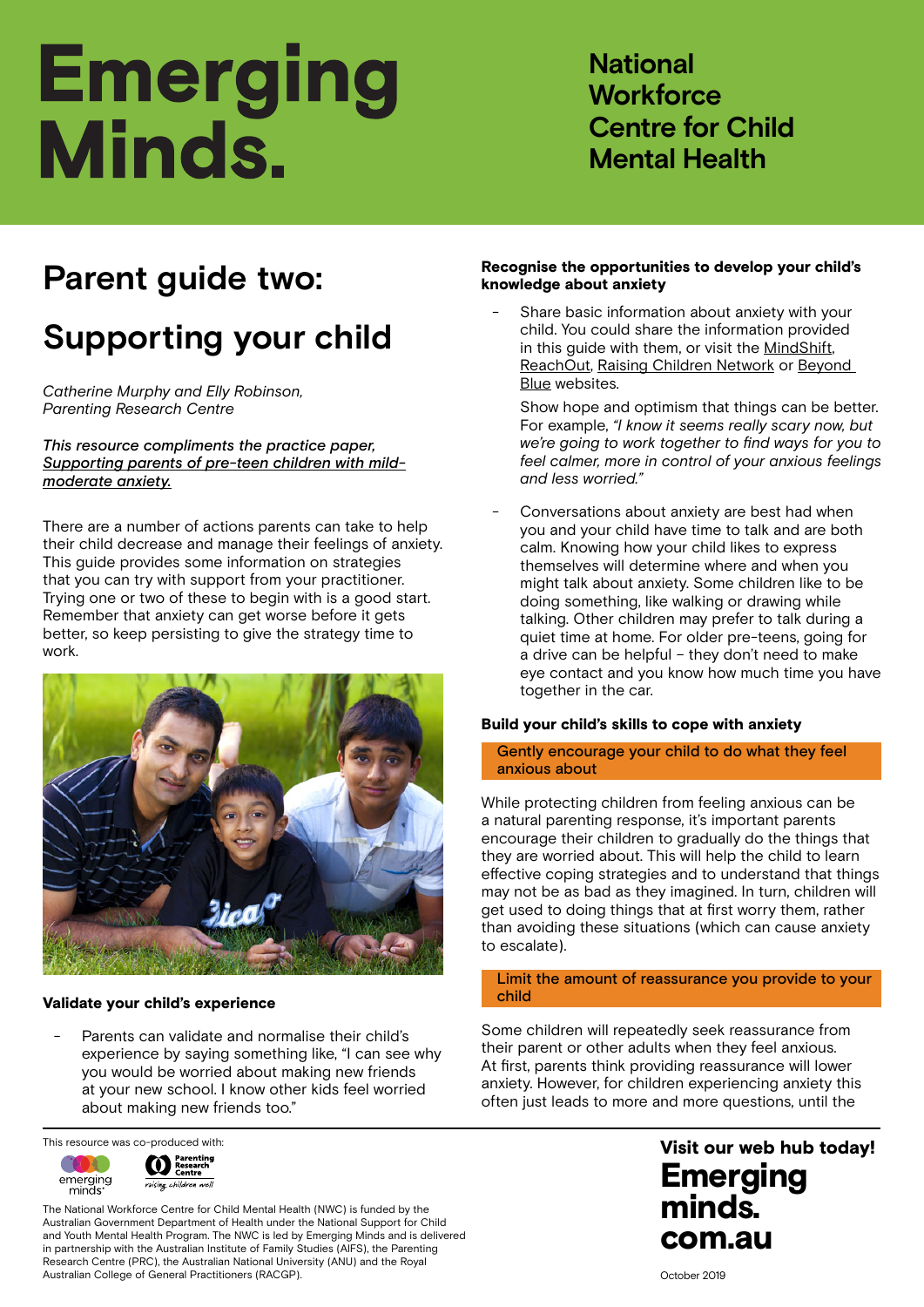# **Emerging** Minds.

**National Workforce Centre for Child Mental Health**

# **Parent guide two:**

## **Supporting your child**

*Catherine Murphy and Elly Robinson, Parenting Research Centre*

*This resource compliments the practice paper, [Supporting parents of pre-teen children with mild](https://emergingminds.com.au/resources/supporting-parents-of-pre-teen-children-with-mild-moderate-anxiety)[moderate anxiety.](https://emergingminds.com.au/resources/supporting-parents-of-pre-teen-children-with-mild-moderate-anxiety)*

There are a number of actions parents can take to help their child decrease and manage their feelings of anxiety. This guide provides some information on strategies that you can try with support from your practitioner. Trying one or two of these to begin with is a good start. Remember that anxiety can get worse before it gets better, so keep persisting to give the strategy time to work.



### Validate your child's experience

Parents can validate and normalise their child's experience by saying something like, "I can see why you would be worried about making new friends at your new school. I know other kids feel worried about making new friends too."

This resource was co-produced with:



The National Workforce Centre for Child Mental Health (NWC) is funded by the Australian Government Department of Health under the National Support for Child and Youth Mental Health Program. The NWC is led by Emerging Minds and is delivered in partnership with the Australian Institute of Family Studies (AIFS), the Parenting Research Centre (PRC), the Australian National University (ANU) and the Royal Australian College of General Practitioners (RACGP).

### Recognise the opportunities to develop your child's knowledge about anxiety

Share basic information about anxiety with your child. You could share the information provided in this guide with them, or visit the [MindShift](https://mindshift.org.au/), [ReachOut,](https://au.reachout.com/) [Raising Children Network](https://raisingchildren.net.au/) or [Beyond](https://www.beyondblue.org.au/)  [Blue](https://www.beyondblue.org.au/) websites.

Show hope and optimism that things can be better. For example, *"I know it seems really scary now, but we're going to work together to find ways for you to feel calmer, more in control of your anxious feelings and less worried."* 

Conversations about anxiety are best had when you and your child have time to talk and are both calm. Knowing how your child likes to express themselves will determine where and when you might talk about anxiety. Some children like to be doing something, like walking or drawing while talking. Other children may prefer to talk during a quiet time at home. For older pre-teens, going for a drive can be helpful – they don't need to make eye contact and you know how much time you have together in the car.

### Build your child's skills to cope with anxiety

### Gently encourage your child to do what they feel anxious about

While protecting children from feeling anxious can be a natural parenting response, it's important parents encourage their children to gradually do the things that they are worried about. This will help the child to learn effective coping strategies and to understand that things may not be as bad as they imagined. In turn, children will get used to doing things that at first worry them, rather than avoiding these situations (which can cause anxiety to escalate).

### Limit the amount of reassurance you provide to your child

Some children will repeatedly seek reassurance from their parent or other adults when they feel anxious. At first, parents think providing reassurance will lower anxiety. However, for children experiencing anxiety this often just leads to more and more questions, until the

October 2019

### Emerging minds. com.au Visit our web hub today!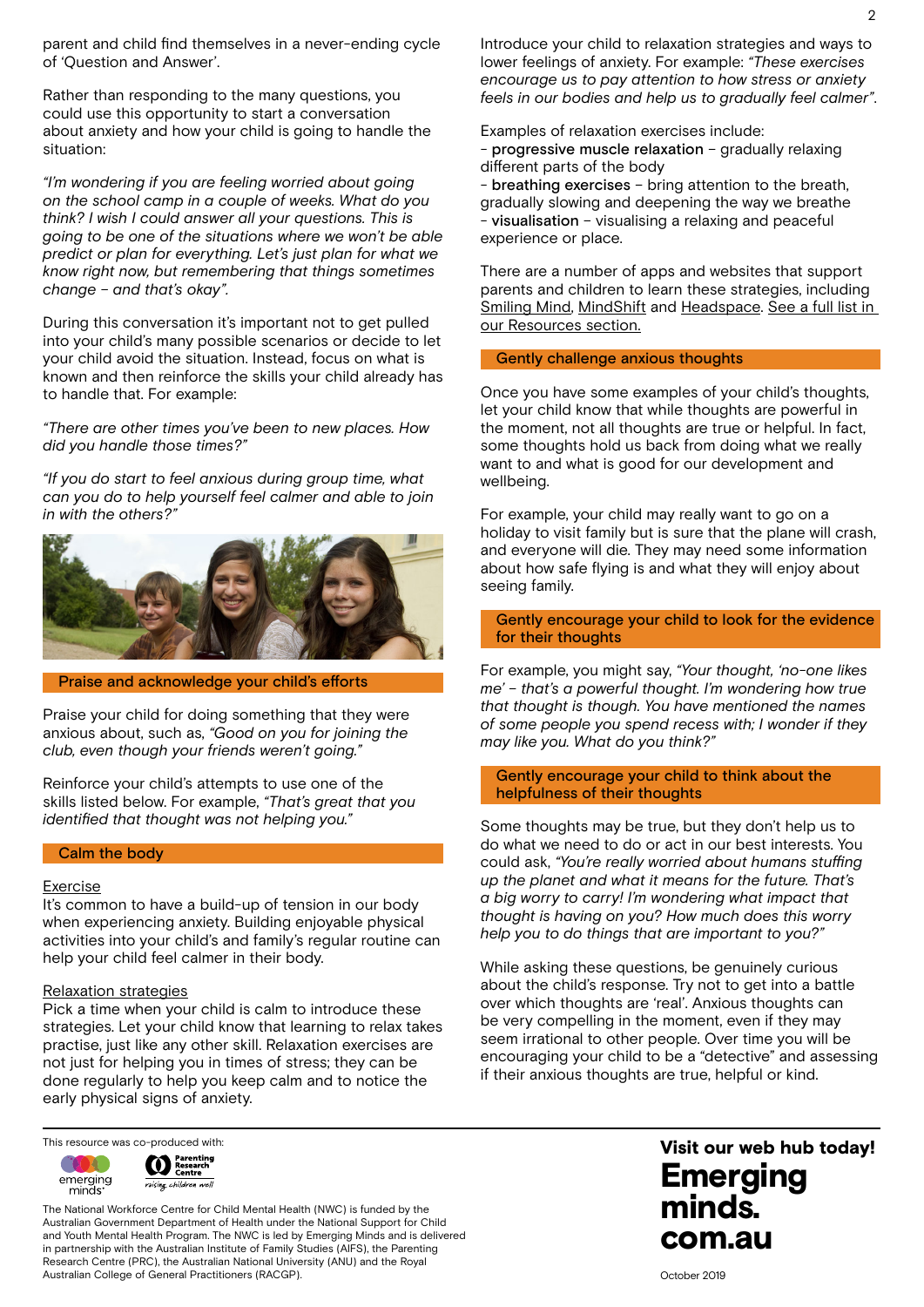parent and child find themselves in a never-ending cycle of 'Question and Answer'.

Rather than responding to the many questions, you could use this opportunity to start a conversation about anxiety and how your child is going to handle the situation:

*"I'm wondering if you are feeling worried about going on the school camp in a couple of weeks. What do you think? I wish I could answer all your questions. This is going to be one of the situations where we won't be able predict or plan for everything. Let's just plan for what we know right now, but remembering that things sometimes change – and that's okay".* 

During this conversation it's important not to get pulled into your child's many possible scenarios or decide to let your child avoid the situation. Instead, focus on what is known and then reinforce the skills your child already has to handle that. For example:

*"There are other times you've been to new places. How did you handle those times?"* 

*"If you do start to feel anxious during group time, what can you do to help yourself feel calmer and able to join in with the others?"*



Praise and acknowledge your child's efforts

Praise your child for doing something that they were anxious about, such as, *"Good on you for joining the club, even though your friends weren't going."*

Reinforce your child's attempts to use one of the skills listed below. For example, *"That's great that you identified that thought was not helping you."* 

### Calm the body

#### Exercise

It's common to have a build-up of tension in our body when experiencing anxiety. Building enjoyable physical activities into your child's and family's regular routine can help your child feel calmer in their body.

### Relaxation strategies

Pick a time when your child is calm to introduce these strategies. Let your child know that learning to relax takes practise, just like any other skill. Relaxation exercises are not just for helping you in times of stress; they can be done regularly to help you keep calm and to notice the early physical signs of anxiety.

This resource was co-produced with:



The National Workforce Centre for Child Mental Health (NWC) is funded by the Australian Government Department of Health under the National Support for Child and Youth Mental Health Program. The NWC is led by Emerging Minds and is delivered in partnership with the Australian Institute of Family Studies (AIFS), the Parenting Research Centre (PRC), the Australian National University (ANU) and the Royal Australian College of General Practitioners (RACGP).

Introduce your child to relaxation strategies and ways to lower feelings of anxiety. For example: *"These exercises encourage us to pay attention to how stress or anxiety feels in our bodies and help us to gradually feel calmer"*.

Examples of relaxation exercises include:

- progressive muscle relaxation – gradually relaxing different parts of the body

- breathing exercises – bring attention to the breath, gradually slowing and deepening the way we breathe - visualisation – visualising a relaxing and peaceful experience or place.

There are a number of apps and websites that support parents and children to learn these strategies, including [Smiling Mind,](https://www.smilingmind.com.au/) [MindShift](https://mindshift.org.au/) and [Headspace](https://headspace.org.au/). [See a full list in](https://emergingminds.com.au/resources/supporting-parents-of-pre-teen-children-with-mild-moderate-anxiety/#other-resources-references)  [our Resources section.](https://emergingminds.com.au/resources/supporting-parents-of-pre-teen-children-with-mild-moderate-anxiety/#other-resources-references)

### Gently challenge anxious thoughts

Once you have some examples of your child's thoughts, let your child know that while thoughts are powerful in the moment, not all thoughts are true or helpful. In fact, some thoughts hold us back from doing what we really want to and what is good for our development and wellbeing.

For example, your child may really want to go on a holiday to visit family but is sure that the plane will crash, and everyone will die. They may need some information about how safe flying is and what they will enjoy about seeing family.

Gently encourage your child to look for the evidence for their thoughts

For example, you might say, *"Your thought, 'no-one likes me' – that's a powerful thought. I'm wondering how true that thought is though. You have mentioned the names of some people you spend recess with; I wonder if they may like you. What do you think?"*

### Gently encourage your child to think about the helpfulness of their thoughts

Some thoughts may be true, but they don't help us to do what we need to do or act in our best interests. You could ask, *"You're really worried about humans stuffing up the planet and what it means for the future. That's a big worry to carry! I'm wondering what impact that thought is having on you? How much does this worry help you to do things that are important to you?"*

While asking these questions, be genuinely curious about the child's response. Try not to get into a battle over which thoughts are 'real'. Anxious thoughts can be very compelling in the moment, even if they may seem irrational to other people. Over time you will be encouraging your child to be a "detective" and assessing if their anxious thoughts are true, helpful or kind.

October 2019

### Emerging minds. com.au Visit our web hub today!